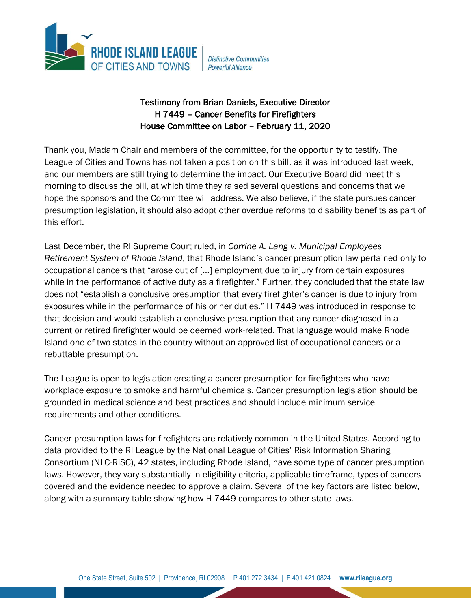

**Distinctive Communities** Powerful Alliance

## Testimony from Brian Daniels, Executive Director H 7449 – Cancer Benefits for Firefighters House Committee on Labor – February 11, 2020

Thank you, Madam Chair and members of the committee, for the opportunity to testify. The League of Cities and Towns has not taken a position on this bill, as it was introduced last week, and our members are still trying to determine the impact. Our Executive Board did meet this morning to discuss the bill, at which time they raised several questions and concerns that we hope the sponsors and the Committee will address. We also believe, if the state pursues cancer presumption legislation, it should also adopt other overdue reforms to disability benefits as part of this effort.

Last December, the RI Supreme Court ruled, in *Corrine A. Lang v. Municipal Employees Retirement System of Rhode Island*, that Rhode Island's cancer presumption law pertained only to occupational cancers that "arose out of […] employment due to injury from certain exposures while in the performance of active duty as a firefighter." Further, they concluded that the state law does not "establish a conclusive presumption that every firefighter's cancer is due to injury from exposures while in the performance of his or her duties." H 7449 was introduced in response to that decision and would establish a conclusive presumption that any cancer diagnosed in a current or retired firefighter would be deemed work-related. That language would make Rhode Island one of two states in the country without an approved list of occupational cancers or a rebuttable presumption.

The League is open to legislation creating a cancer presumption for firefighters who have workplace exposure to smoke and harmful chemicals. Cancer presumption legislation should be grounded in medical science and best practices and should include minimum service requirements and other conditions.

Cancer presumption laws for firefighters are relatively common in the United States. According to data provided to the RI League by the National League of Cities' Risk Information Sharing Consortium (NLC-RISC), 42 states, including Rhode Island, have some type of cancer presumption laws. However, they vary substantially in eligibility criteria, applicable timeframe, types of cancers covered and the evidence needed to approve a claim. Several of the key factors are listed below, along with a summary table showing how H 7449 compares to other state laws.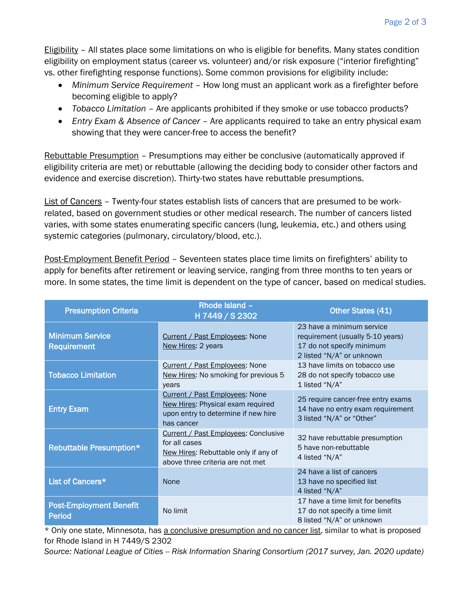Eligibility – All states place some limitations on who is eligible for benefits. Many states condition eligibility on employment status (career vs. volunteer) and/or risk exposure ("interior firefighting" vs. other firefighting response functions). Some common provisions for eligibility include:

- *Minimum Service Requirement* How long must an applicant work as a firefighter before becoming eligible to apply?
- *Tobacco Limitation* Are applicants prohibited if they smoke or use tobacco products?
- *Entry Exam & Absence of Cancer* Are applicants required to take an entry physical exam showing that they were cancer-free to access the benefit?

Rebuttable Presumption – Presumptions may either be conclusive (automatically approved if eligibility criteria are met) or rebuttable (allowing the deciding body to consider other factors and evidence and exercise discretion). Thirty-two states have rebuttable presumptions.

List of Cancers – Twenty-four states establish lists of cancers that are presumed to be workrelated, based on government studies or other medical research. The number of cancers listed varies, with some states enumerating specific cancers (lung, leukemia, etc.) and others using systemic categories (pulmonary, circulatory/blood, etc.).

Post-Employment Benefit Period – Seventeen states place time limits on firefighters' ability to apply for benefits after retirement or leaving service, ranging from three months to ten years or more. In some states, the time limit is dependent on the type of cancer, based on medical studies.

| <b>Presumption Criteria</b>                  | Rhode Island -<br>H 7449 / S 2302                                                                                                 | Other States (41)                                                                                                       |
|----------------------------------------------|-----------------------------------------------------------------------------------------------------------------------------------|-------------------------------------------------------------------------------------------------------------------------|
| <b>Minimum Service</b><br><b>Requirement</b> | <b>Current / Past Employees: None</b><br>New Hires: 2 years                                                                       | 23 have a minimum service<br>requirement (usually 5-10 years)<br>17 do not specify minimum<br>2 listed "N/A" or unknown |
| <b>Tobacco Limitation</b>                    | <b>Current / Past Employees: None</b><br>New Hires: No smoking for previous 5<br>years                                            | 13 have limits on tobacco use<br>28 do not specify tobacco use<br>1 listed "N/A"                                        |
| <b>Entry Exam</b>                            | Current / Past Employees: None<br>New Hires: Physical exam required<br>upon entry to determine if new hire<br>has cancer          | 25 require cancer-free entry exams<br>14 have no entry exam requirement<br>3 listed "N/A" or "Other"                    |
| <b>Rebuttable Presumption*</b>               | Current / Past Employees: Conclusive<br>for all cases<br>New Hires: Rebuttable only if any of<br>above three criteria are not met | 32 have rebuttable presumption<br>5 have non-rebuttable<br>4 listed "N/A"                                               |
| List of Cancers*                             | None                                                                                                                              | 24 have a list of cancers<br>13 have no specified list<br>4 listed "N/A"                                                |
| <b>Post-Employment Benefit</b><br>Period     | No limit                                                                                                                          | 17 have a time limit for benefits<br>17 do not specify a time limit<br>8 listed "N/A" or unknown                        |

\* Only one state, Minnesota, has a conclusive presumption and no cancer list, similar to what is proposed for Rhode Island in H 7449/S 2302

*Source: National League of Cities -- Risk Information Sharing Consortium (2017 survey, Jan. 2020 update)*